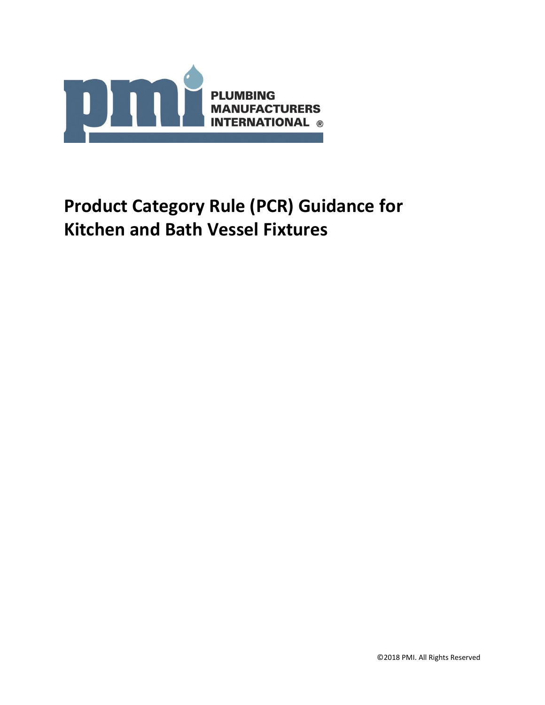

# **Product Category Rule (PCR) Guidance for Kitchen and Bath Vessel Fixtures**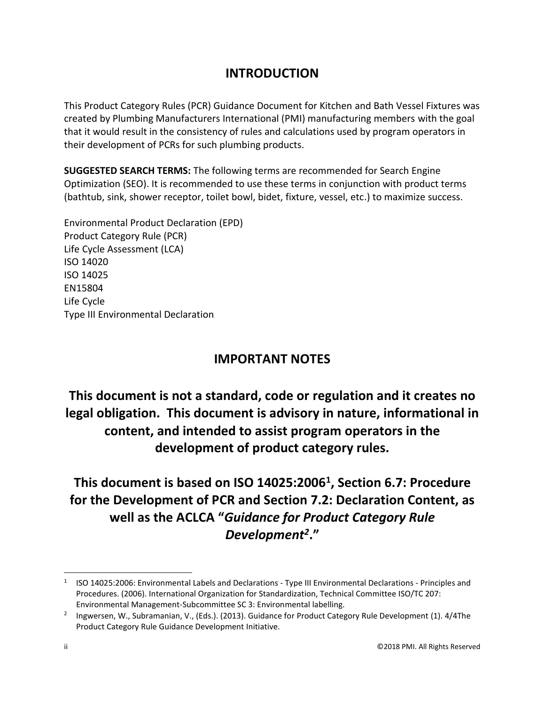# **INTRODUCTION**

This Product Category Rules (PCR) Guidance Document for Kitchen and Bath Vessel Fixtures was created by Plumbing Manufacturers International (PMI) manufacturing members with the goal that it would result in the consistency of rules and calculations used by program operators in their development of PCRs for such plumbing products.

**SUGGESTED SEARCH TERMS:** The following terms are recommended for Search Engine Optimization (SEO). It is recommended to use these terms in conjunction with product terms (bathtub, sink, shower receptor, toilet bowl, bidet, fixture, vessel, etc.) to maximize success.

Environmental Product Declaration (EPD) Product Category Rule (PCR) Life Cycle Assessment (LCA) ISO 14020 ISO 14025 EN15804 Life Cycle Type III Environmental Declaration

# **IMPORTANT NOTES**

**This document is not a standard, code or regulation and it creates no legal obligation. This document is advisory in nature, informational in content, and intended to assist program operators in the development of product category rules.**

**This document is based on ISO 14025:2006<sup>1</sup> , Section 6.7: Procedure for the Development of PCR and Section 7.2: Declaration Content, as well as the ACLCA "***Guidance for Product Category Rule Development<sup>2</sup>* **."**

 $\overline{a}$ 

<sup>1</sup> ISO 14025:2006: Environmental Labels and Declarations - Type III Environmental Declarations - Principles and Procedures. (2006). International Organization for Standardization, Technical Committee ISO/TC 207: Environmental Management-Subcommittee SC 3: Environmental labelling.

<sup>&</sup>lt;sup>2</sup> Ingwersen, W., Subramanian, V., (Eds.). (2013). Guidance for Product Category Rule Development (1). 4/4The Product Category Rule Guidance Development Initiative.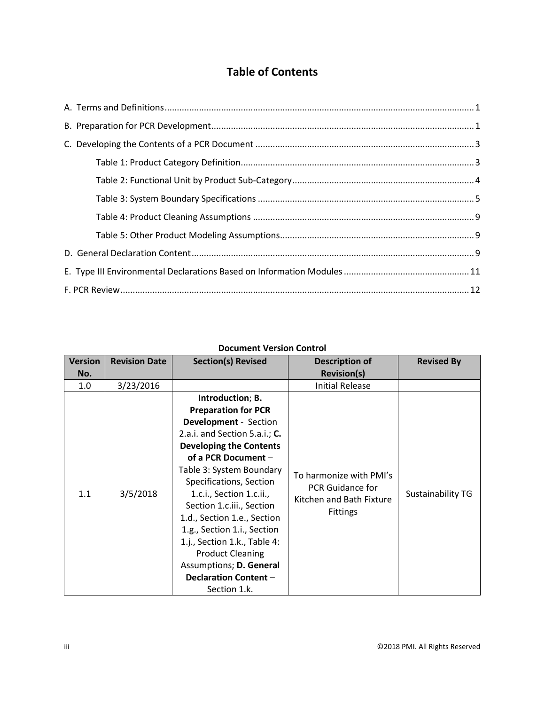# **Table of Contents**

# **Document Version Control**

| <b>Version</b> | <b>Revision Date</b> | <b>Section(s) Revised</b>                                                                                                                                                                                                                                                                                                                                                                                                                                                                    | <b>Description of</b>                                                                             | <b>Revised By</b>        |
|----------------|----------------------|----------------------------------------------------------------------------------------------------------------------------------------------------------------------------------------------------------------------------------------------------------------------------------------------------------------------------------------------------------------------------------------------------------------------------------------------------------------------------------------------|---------------------------------------------------------------------------------------------------|--------------------------|
| No.            |                      |                                                                                                                                                                                                                                                                                                                                                                                                                                                                                              | <b>Revision(s)</b>                                                                                |                          |
| 1.0            | 3/23/2016            |                                                                                                                                                                                                                                                                                                                                                                                                                                                                                              | <b>Initial Release</b>                                                                            |                          |
| 1.1            | 3/5/2018             | Introduction; B.<br><b>Preparation for PCR</b><br><b>Development</b> - Section<br>2.a.i. and Section 5.a.i.; C.<br><b>Developing the Contents</b><br>of a PCR Document -<br>Table 3: System Boundary<br>Specifications, Section<br>1.c.i., Section 1.c.ii.,<br>Section 1.c.iii., Section<br>1.d., Section 1.e., Section<br>1.g., Section 1.i., Section<br>1.j., Section 1.k., Table 4:<br><b>Product Cleaning</b><br>Assumptions; D. General<br><b>Declaration Content -</b><br>Section 1.k. | To harmonize with PMI's<br><b>PCR Guidance for</b><br>Kitchen and Bath Fixture<br><b>Fittings</b> | <b>Sustainability TG</b> |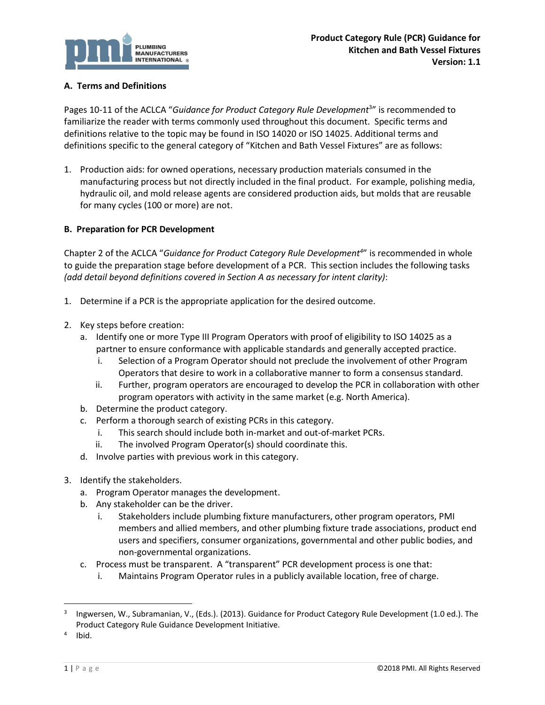

## <span id="page-3-0"></span>**A. Terms and Definitions**

Pages 10-11 of the ACLCA "Guidance for Product Category Rule Development<sup>3</sup>" is recommended to familiarize the reader with terms commonly used throughout this document. Specific terms and definitions relative to the topic may be found in ISO 14020 or ISO 14025. Additional terms and definitions specific to the general category of "Kitchen and Bath Vessel Fixtures" are as follows:

1. Production aids: for owned operations, necessary production materials consumed in the manufacturing process but not directly included in the final product. For example, polishing media, hydraulic oil, and mold release agents are considered production aids, but molds that are reusable for many cycles (100 or more) are not.

#### <span id="page-3-1"></span>**B. Preparation for PCR Development**

Chapter 2 of the ACLCA "*Guidance for Product Category Rule Development<sup>4</sup>* " is recommended in whole to guide the preparation stage before development of a PCR. This section includes the following tasks *(add detail beyond definitions covered in Section A as necessary for intent clarity)*:

- 1. Determine if a PCR is the appropriate application for the desired outcome.
- 2. Key steps before creation:
	- a. Identify one or more Type III Program Operators with proof of eligibility to ISO 14025 as a partner to ensure conformance with applicable standards and generally accepted practice.
		- i. Selection of a Program Operator should not preclude the involvement of other Program Operators that desire to work in a collaborative manner to form a consensus standard.
		- ii. Further, program operators are encouraged to develop the PCR in collaboration with other program operators with activity in the same market (e.g. North America).
	- b. Determine the product category.
	- c. Perform a thorough search of existing PCRs in this category.
		- i. This search should include both in-market and out-of-market PCRs.
		- ii. The involved Program Operator(s) should coordinate this.
	- d. Involve parties with previous work in this category.
- 3. Identify the stakeholders.
	- a. Program Operator manages the development.
	- b. Any stakeholder can be the driver.
		- i. Stakeholders include plumbing fixture manufacturers, other program operators, PMI members and allied members, and other plumbing fixture trade associations, product end users and specifiers, consumer organizations, governmental and other public bodies, and non-governmental organizations.
	- c. Process must be transparent. A "transparent" PCR development process is one that:
		- i. Maintains Program Operator rules in a publicly available location, free of charge.

 $\overline{a}$ 

<sup>3</sup> Ingwersen, W., Subramanian, V., (Eds.). (2013). Guidance for Product Category Rule Development (1.0 ed.). The Product Category Rule Guidance Development Initiative.

<sup>4</sup> Ibid.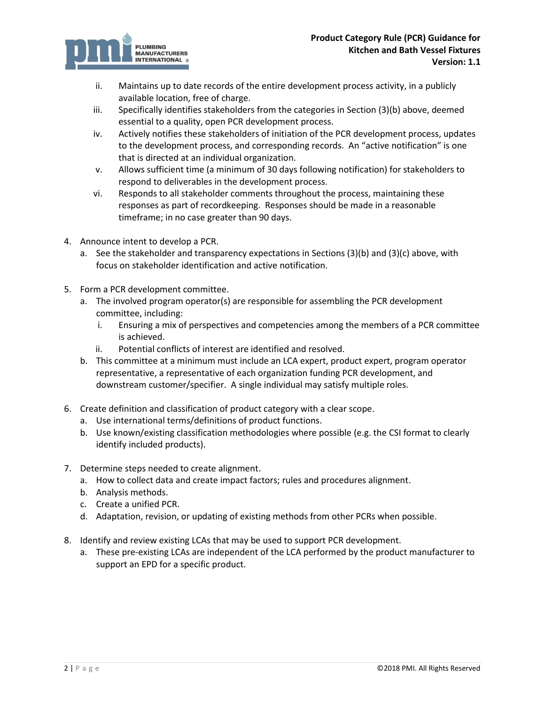

- ii. Maintains up to date records of the entire development process activity, in a publicly available location, free of charge.
- iii. Specifically identifies stakeholders from the categories in Section (3)(b) above, deemed essential to a quality, open PCR development process.
- iv. Actively notifies these stakeholders of initiation of the PCR development process, updates to the development process, and corresponding records. An "active notification" is one that is directed at an individual organization.
- v. Allows sufficient time (a minimum of 30 days following notification) for stakeholders to respond to deliverables in the development process.
- vi. Responds to all stakeholder comments throughout the process, maintaining these responses as part of recordkeeping. Responses should be made in a reasonable timeframe; in no case greater than 90 days.
- 4. Announce intent to develop a PCR.
	- a. See the stakeholder and transparency expectations in Sections (3)(b) and (3)(c) above, with focus on stakeholder identification and active notification.
- 5. Form a PCR development committee.
	- a. The involved program operator(s) are responsible for assembling the PCR development committee, including:
		- i. Ensuring a mix of perspectives and competencies among the members of a PCR committee is achieved.
		- ii. Potential conflicts of interest are identified and resolved.
	- b. This committee at a minimum must include an LCA expert, product expert, program operator representative, a representative of each organization funding PCR development, and downstream customer/specifier. A single individual may satisfy multiple roles.
- 6. Create definition and classification of product category with a clear scope.
	- a. Use international terms/definitions of product functions.
	- b. Use known/existing classification methodologies where possible (e.g. the CSI format to clearly identify included products).
- 7. Determine steps needed to create alignment.
	- a. How to collect data and create impact factors; rules and procedures alignment.
	- b. Analysis methods.
	- c. Create a unified PCR.
	- d. Adaptation, revision, or updating of existing methods from other PCRs when possible.
- 8. Identify and review existing LCAs that may be used to support PCR development.
	- a. These pre-existing LCAs are independent of the LCA performed by the product manufacturer to support an EPD for a specific product.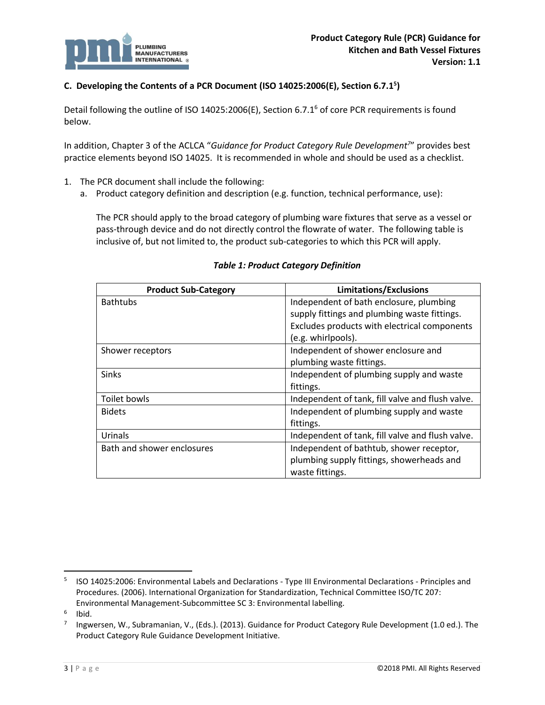

# <span id="page-5-0"></span>**C. Developing the Contents of a PCR Document (ISO 14025:2006(E), Section 6.7.1<sup>5</sup> )**

Detail following the outline of ISO 14025:2006(E), Section 6.7.1<sup>6</sup> of core PCR requirements is found below.

In addition, Chapter 3 of the ACLCA "*Guidance for Product Category Rule Development<sup>7</sup>* " provides best practice elements beyond ISO 14025. It is recommended in whole and should be used as a checklist.

- 1. The PCR document shall include the following:
	- a. Product category definition and description (e.g. function, technical performance, use):

The PCR should apply to the broad category of plumbing ware fixtures that serve as a vessel or pass-through device and do not directly control the flowrate of water. The following table is inclusive of, but not limited to, the product sub-categories to which this PCR will apply.

<span id="page-5-1"></span>

| <b>Product Sub-Category</b> | <b>Limitations/Exclusions</b>                    |
|-----------------------------|--------------------------------------------------|
| <b>Bathtubs</b>             | Independent of bath enclosure, plumbing          |
|                             | supply fittings and plumbing waste fittings.     |
|                             | Excludes products with electrical components     |
|                             | (e.g. whirlpools).                               |
| Shower receptors            | Independent of shower enclosure and              |
|                             | plumbing waste fittings.                         |
| <b>Sinks</b>                | Independent of plumbing supply and waste         |
|                             | fittings.                                        |
| Toilet bowls                | Independent of tank, fill valve and flush valve. |
| <b>Bidets</b>               | Independent of plumbing supply and waste         |
|                             | fittings.                                        |
| Urinals                     | Independent of tank, fill valve and flush valve. |
| Bath and shower enclosures  | Independent of bathtub, shower receptor,         |
|                             | plumbing supply fittings, showerheads and        |
|                             | waste fittings.                                  |

#### *Table 1: Product Category Definition*

l

<sup>5</sup> ISO 14025:2006: Environmental Labels and Declarations - Type III Environmental Declarations - Principles and Procedures. (2006). International Organization for Standardization, Technical Committee ISO/TC 207: Environmental Management-Subcommittee SC 3: Environmental labelling.

<sup>6</sup> Ibid.

<sup>7</sup> Ingwersen, W., Subramanian, V., (Eds.). (2013). Guidance for Product Category Rule Development (1.0 ed.). The Product Category Rule Guidance Development Initiative.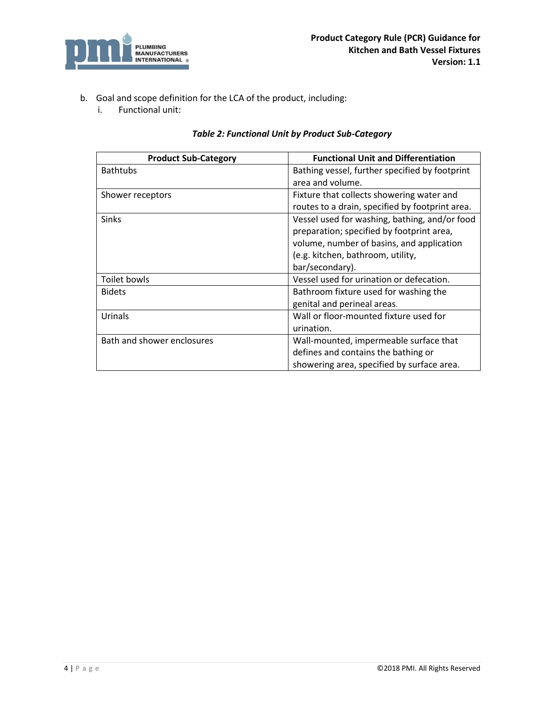

- <span id="page-6-0"></span>b. Goal and scope definition for the LCA of the product, including:
	- i. Functional unit:

| Table 2: Functional Unit by Product Sub-Category |  |  |  |
|--------------------------------------------------|--|--|--|
|--------------------------------------------------|--|--|--|

| <b>Product Sub-Category</b> | <b>Functional Unit and Differentiation</b>      |
|-----------------------------|-------------------------------------------------|
| <b>Bathtubs</b>             | Bathing vessel, further specified by footprint  |
|                             | area and volume.                                |
| Shower receptors            | Fixture that collects showering water and       |
|                             | routes to a drain, specified by footprint area. |
| Sinks                       | Vessel used for washing, bathing, and/or food   |
|                             | preparation; specified by footprint area,       |
|                             | volume, number of basins, and application       |
|                             | (e.g. kitchen, bathroom, utility,               |
|                             | bar/secondary).                                 |
| Toilet bowls                | Vessel used for urination or defecation.        |
| <b>Bidets</b>               | Bathroom fixture used for washing the           |
|                             | genital and perineal areas.                     |
| Urinals                     | Wall or floor-mounted fixture used for          |
|                             | urination.                                      |
| Bath and shower enclosures  | Wall-mounted, impermeable surface that          |
|                             | defines and contains the bathing or             |
|                             | showering area, specified by surface area.      |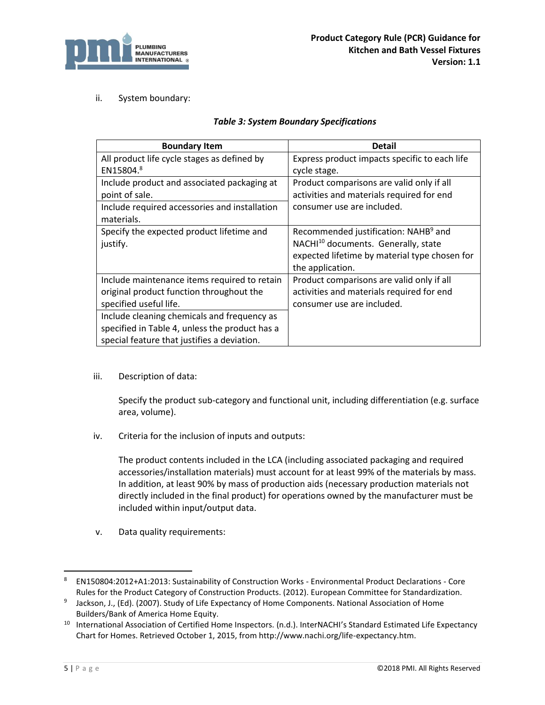

## <span id="page-7-0"></span>ii. System boundary:

#### *Table 3: System Boundary Specifications*

| <b>Boundary Item</b>                           | <b>Detail</b>                                    |
|------------------------------------------------|--------------------------------------------------|
| All product life cycle stages as defined by    | Express product impacts specific to each life    |
| EN15804.8                                      | cycle stage.                                     |
| Include product and associated packaging at    | Product comparisons are valid only if all        |
| point of sale.                                 | activities and materials required for end        |
| Include required accessories and installation  | consumer use are included.                       |
| materials.                                     |                                                  |
| Specify the expected product lifetime and      | Recommended justification: NAHB <sup>9</sup> and |
| justify.                                       | NACHI <sup>10</sup> documents. Generally, state  |
|                                                | expected lifetime by material type chosen for    |
|                                                | the application.                                 |
| Include maintenance items required to retain   | Product comparisons are valid only if all        |
| original product function throughout the       | activities and materials required for end        |
| specified useful life.                         | consumer use are included.                       |
| Include cleaning chemicals and frequency as    |                                                  |
| specified in Table 4, unless the product has a |                                                  |
| special feature that justifies a deviation.    |                                                  |

iii. Description of data:

Specify the product sub-category and functional unit, including differentiation (e.g. surface area, volume).

iv. Criteria for the inclusion of inputs and outputs:

The product contents included in the LCA (including associated packaging and required accessories/installation materials) must account for at least 99% of the materials by mass. In addition, at least 90% by mass of production aids (necessary production materials not directly included in the final product) for operations owned by the manufacturer must be included within input/output data.

v. Data quality requirements:

l

<sup>8</sup> EN150804:2012+A1:2013: Sustainability of Construction Works - Environmental Product Declarations - Core Rules for the Product Category of Construction Products. (2012). European Committee for Standardization.

<sup>9</sup> Jackson, J., (Ed). (2007). Study of Life Expectancy of Home Components. National Association of Home Builders/Bank of America Home Equity.

<sup>&</sup>lt;sup>10</sup> International Association of Certified Home Inspectors. (n.d.). InterNACHI's Standard Estimated Life Expectancy Chart for Homes. Retrieved October 1, 2015, from http://www.nachi.org/life-expectancy.htm.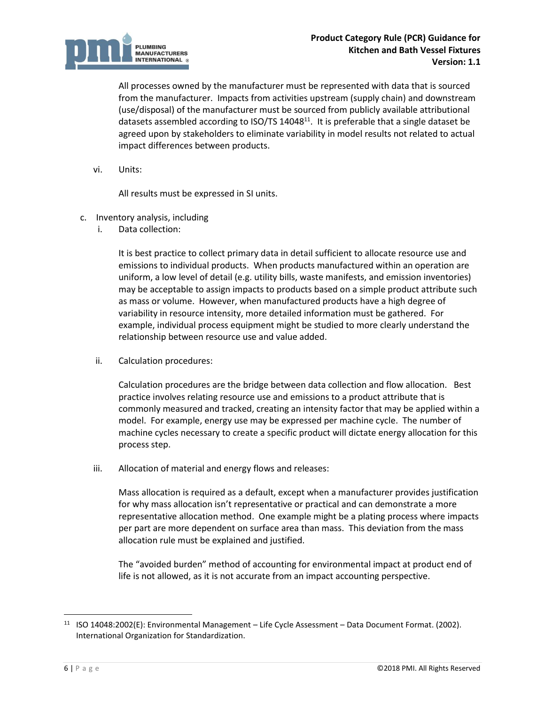

All processes owned by the manufacturer must be represented with data that is sourced from the manufacturer. Impacts from activities upstream (supply chain) and downstream (use/disposal) of the manufacturer must be sourced from publicly available attributional datasets assembled according to ISO/TS 14048<sup>11</sup>. It is preferable that a single dataset be agreed upon by stakeholders to eliminate variability in model results not related to actual impact differences between products.

vi. Units:

All results must be expressed in SI units.

- c. Inventory analysis, including
	- i. Data collection:

It is best practice to collect primary data in detail sufficient to allocate resource use and emissions to individual products. When products manufactured within an operation are uniform, a low level of detail (e.g. utility bills, waste manifests, and emission inventories) may be acceptable to assign impacts to products based on a simple product attribute such as mass or volume. However, when manufactured products have a high degree of variability in resource intensity, more detailed information must be gathered. For example, individual process equipment might be studied to more clearly understand the relationship between resource use and value added.

ii. Calculation procedures:

Calculation procedures are the bridge between data collection and flow allocation. Best practice involves relating resource use and emissions to a product attribute that is commonly measured and tracked, creating an intensity factor that may be applied within a model. For example, energy use may be expressed per machine cycle. The number of machine cycles necessary to create a specific product will dictate energy allocation for this process step.

iii. Allocation of material and energy flows and releases:

Mass allocation is required as a default, except when a manufacturer provides justification for why mass allocation isn't representative or practical and can demonstrate a more representative allocation method. One example might be a plating process where impacts per part are more dependent on surface area than mass. This deviation from the mass allocation rule must be explained and justified.

The "avoided burden" method of accounting for environmental impact at product end of life is not allowed, as it is not accurate from an impact accounting perspective.

<sup>11</sup> ISO 14048:2002(E): Environmental Management – Life Cycle Assessment – Data Document Format. (2002). International Organization for Standardization.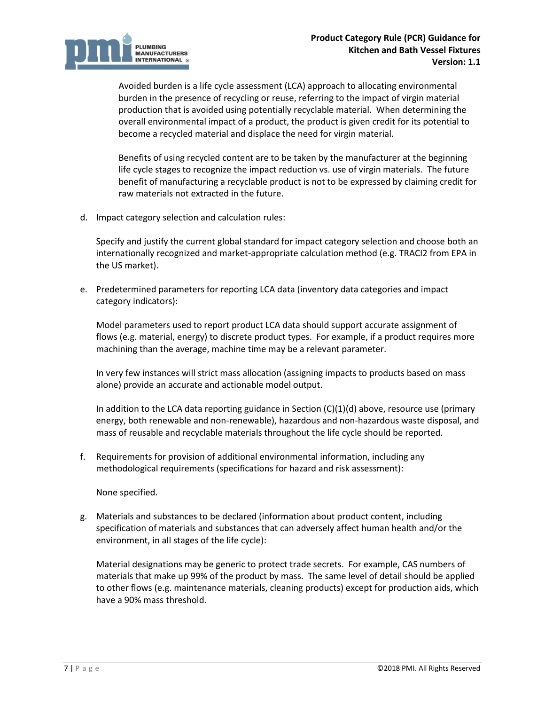

Avoided burden is a life cycle assessment (LCA) approach to allocating environmental burden in the presence of recycling or reuse, referring to the impact of virgin material production that is avoided using potentially recyclable material. When determining the overall environmental impact of a product, the product is given credit for its potential to become a recycled material and displace the need for virgin material.

Benefits of using recycled content are to be taken by the manufacturer at the beginning life cycle stages to recognize the impact reduction vs. use of virgin materials. The future benefit of manufacturing a recyclable product is not to be expressed by claiming credit for raw materials not extracted in the future.

d. Impact category selection and calculation rules:

Specify and justify the current global standard for impact category selection and choose both an internationally recognized and market-appropriate calculation method (e.g. TRACI2 from EPA in the US market).

e. Predetermined parameters for reporting LCA data (inventory data categories and impact category indicators):

Model parameters used to report product LCA data should support accurate assignment of flows (e.g. material, energy) to discrete product types. For example, if a product requires more machining than the average, machine time may be a relevant parameter.

In very few instances will strict mass allocation (assigning impacts to products based on mass alone) provide an accurate and actionable model output.

In addition to the LCA data reporting guidance in Section  $(C)(1)(d)$  above, resource use (primary energy, both renewable and non-renewable), hazardous and non-hazardous waste disposal, and mass of reusable and recyclable materials throughout the life cycle should be reported.

f. Requirements for provision of additional environmental information, including any methodological requirements (specifications for hazard and risk assessment):

None specified.

g. Materials and substances to be declared (information about product content, including specification of materials and substances that can adversely affect human health and/or the environment, in all stages of the life cycle):

Material designations may be generic to protect trade secrets. For example, CAS numbers of materials that make up 99% of the product by mass. The same level of detail should be applied to other flows (e.g. maintenance materials, cleaning products) except for production aids, which have a 90% mass threshold.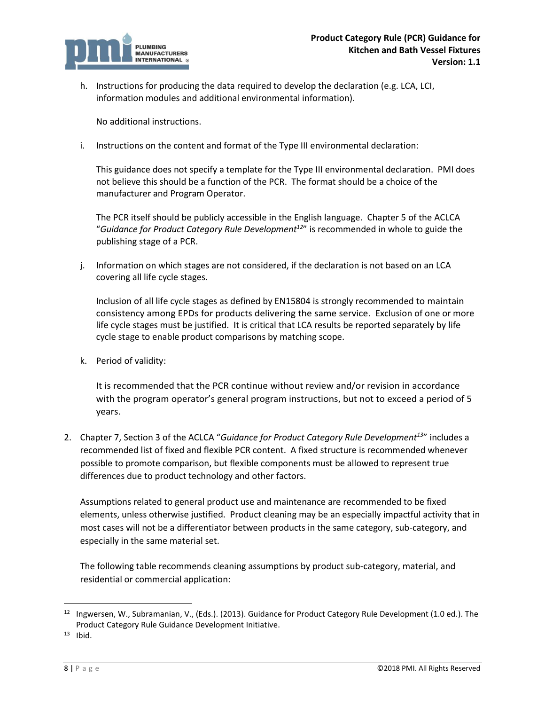

h. Instructions for producing the data required to develop the declaration (e.g. LCA, LCI, information modules and additional environmental information).

No additional instructions.

i. Instructions on the content and format of the Type III environmental declaration:

This guidance does not specify a template for the Type III environmental declaration. PMI does not believe this should be a function of the PCR. The format should be a choice of the manufacturer and Program Operator.

The PCR itself should be publicly accessible in the English language. Chapter 5 of the ACLCA "*Guidance for Product Category Rule Development<sup>12</sup>*" is recommended in whole to guide the publishing stage of a PCR.

j. Information on which stages are not considered, if the declaration is not based on an LCA covering all life cycle stages.

Inclusion of all life cycle stages as defined by EN15804 is strongly recommended to maintain consistency among EPDs for products delivering the same service. Exclusion of one or more life cycle stages must be justified. It is critical that LCA results be reported separately by life cycle stage to enable product comparisons by matching scope.

k. Period of validity:

It is recommended that the PCR continue without review and/or revision in accordance with the program operator's general program instructions, but not to exceed a period of 5 years.

2. Chapter 7, Section 3 of the ACLCA "*Guidance for Product Category Rule Development<sup>13</sup>*" includes a recommended list of fixed and flexible PCR content. A fixed structure is recommended whenever possible to promote comparison, but flexible components must be allowed to represent true differences due to product technology and other factors.

Assumptions related to general product use and maintenance are recommended to be fixed elements, unless otherwise justified. Product cleaning may be an especially impactful activity that in most cases will not be a differentiator between products in the same category, sub-category, and especially in the same material set.

The following table recommends cleaning assumptions by product sub-category, material, and residential or commercial application:

 $\overline{a}$ 

<sup>12</sup> Ingwersen, W., Subramanian, V., (Eds.). (2013). Guidance for Product Category Rule Development (1.0 ed.). The Product Category Rule Guidance Development Initiative.

 $13$  Ibid.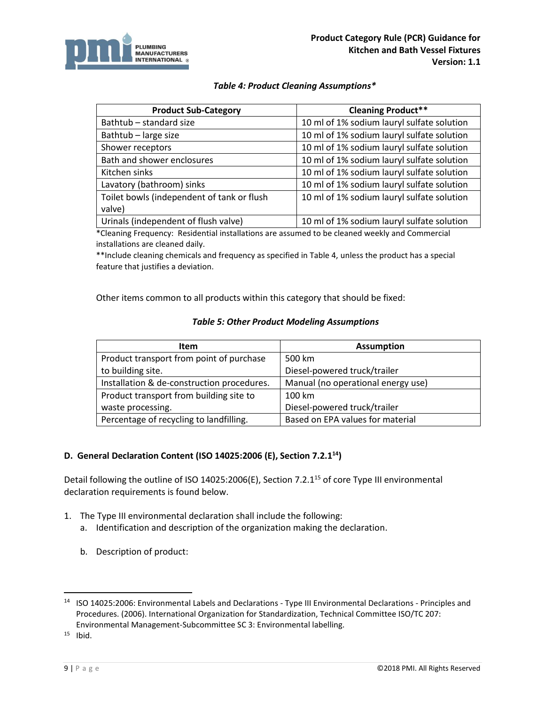

#### *Table 4: Product Cleaning Assumptions\**

<span id="page-11-0"></span>

| <b>Product Sub-Category</b>                | <b>Cleaning Product**</b>                  |
|--------------------------------------------|--------------------------------------------|
| Bathtub - standard size                    | 10 ml of 1% sodium lauryl sulfate solution |
| Bathtub - large size                       | 10 ml of 1% sodium lauryl sulfate solution |
| Shower receptors                           | 10 ml of 1% sodium lauryl sulfate solution |
| Bath and shower enclosures                 | 10 ml of 1% sodium lauryl sulfate solution |
| Kitchen sinks                              | 10 ml of 1% sodium lauryl sulfate solution |
| Lavatory (bathroom) sinks                  | 10 ml of 1% sodium lauryl sulfate solution |
| Toilet bowls (independent of tank or flush | 10 ml of 1% sodium lauryl sulfate solution |
| valve)                                     |                                            |
| Urinals (independent of flush valve)       | 10 ml of 1% sodium lauryl sulfate solution |

\*Cleaning Frequency: Residential installations are assumed to be cleaned weekly and Commercial installations are cleaned daily.

\*\*Include cleaning chemicals and frequency as specified in Table 4, unless the product has a special feature that justifies a deviation.

<span id="page-11-1"></span>Other items common to all products within this category that should be fixed:

#### *Table 5: Other Product Modeling Assumptions*

| Item                                       | <b>Assumption</b>                  |
|--------------------------------------------|------------------------------------|
| Product transport from point of purchase   | 500 km                             |
| to building site.                          | Diesel-powered truck/trailer       |
| Installation & de-construction procedures. | Manual (no operational energy use) |
| Product transport from building site to    | 100 km                             |
| waste processing.                          | Diesel-powered truck/trailer       |
| Percentage of recycling to landfilling.    | Based on EPA values for material   |

# <span id="page-11-2"></span>**D. General Declaration Content (ISO 14025:2006 (E), Section 7.2.1<sup>14</sup>)**

Detail following the outline of ISO 14025:2006(E), Section 7.2.1<sup>15</sup> of core Type III environmental declaration requirements is found below.

- 1. The Type III environmental declaration shall include the following:
	- a. Identification and description of the organization making the declaration.
	- b. Description of product:

 $15$  Ibid.

l

<sup>14</sup> ISO 14025:2006: Environmental Labels and Declarations - Type III Environmental Declarations - Principles and Procedures. (2006). International Organization for Standardization, Technical Committee ISO/TC 207: Environmental Management-Subcommittee SC 3: Environmental labelling.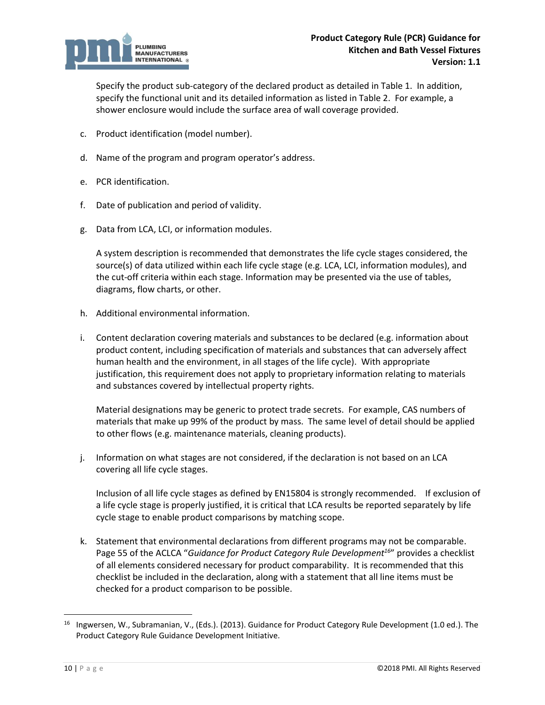

Specify the product sub-category of the declared product as detailed in Table 1. In addition, specify the functional unit and its detailed information as listed in Table 2. For example, a shower enclosure would include the surface area of wall coverage provided.

- c. Product identification (model number).
- d. Name of the program and program operator's address.
- e. PCR identification.
- f. Date of publication and period of validity.
- g. Data from LCA, LCI, or information modules.

A system description is recommended that demonstrates the life cycle stages considered, the source(s) of data utilized within each life cycle stage (e.g. LCA, LCI, information modules), and the cut-off criteria within each stage. Information may be presented via the use of tables, diagrams, flow charts, or other.

- h. Additional environmental information.
- i. Content declaration covering materials and substances to be declared (e.g. information about product content, including specification of materials and substances that can adversely affect human health and the environment, in all stages of the life cycle). With appropriate justification, this requirement does not apply to proprietary information relating to materials and substances covered by intellectual property rights.

Material designations may be generic to protect trade secrets. For example, CAS numbers of materials that make up 99% of the product by mass. The same level of detail should be applied to other flows (e.g. maintenance materials, cleaning products).

j. Information on what stages are not considered, if the declaration is not based on an LCA covering all life cycle stages.

Inclusion of all life cycle stages as defined by EN15804 is strongly recommended. If exclusion of a life cycle stage is properly justified, it is critical that LCA results be reported separately by life cycle stage to enable product comparisons by matching scope.

k. Statement that environmental declarations from different programs may not be comparable. Page 55 of the ACLCA "*Guidance for Product Category Rule Development<sup>16</sup>*" provides a checklist of all elements considered necessary for product comparability. It is recommended that this checklist be included in the declaration, along with a statement that all line items must be checked for a product comparison to be possible.

<sup>&</sup>lt;sup>16</sup> Ingwersen, W., Subramanian, V., (Eds.). (2013). Guidance for Product Category Rule Development (1.0 ed.). The Product Category Rule Guidance Development Initiative.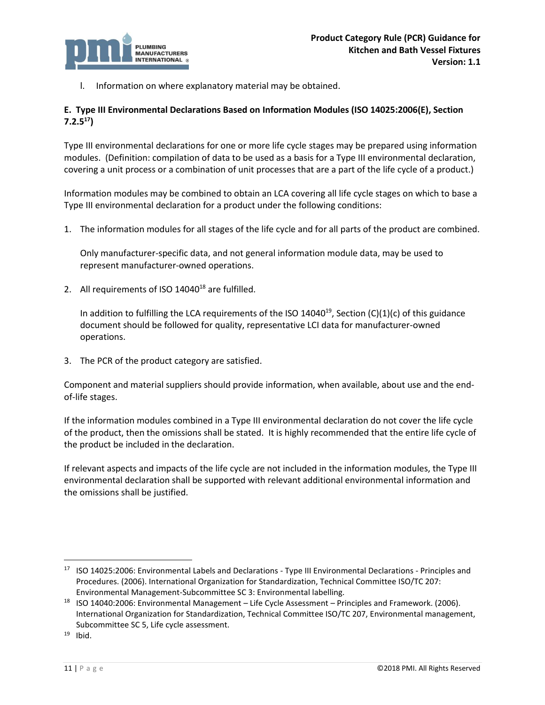

l. Information on where explanatory material may be obtained.

# <span id="page-13-0"></span>**E. Type III Environmental Declarations Based on Information Modules (ISO 14025:2006(E), Section 7.2.5 17)**

Type III environmental declarations for one or more life cycle stages may be prepared using information modules. (Definition: compilation of data to be used as a basis for a Type III environmental declaration, covering a unit process or a combination of unit processes that are a part of the life cycle of a product.)

Information modules may be combined to obtain an LCA covering all life cycle stages on which to base a Type III environmental declaration for a product under the following conditions:

1. The information modules for all stages of the life cycle and for all parts of the product are combined.

Only manufacturer-specific data, and not general information module data, may be used to represent manufacturer-owned operations.

2. All requirements of ISO  $14040^{18}$  are fulfilled.

In addition to fulfilling the LCA requirements of the ISO 14040<sup>19</sup>, Section (C)(1)(c) of this guidance document should be followed for quality, representative LCI data for manufacturer-owned operations.

3. The PCR of the product category are satisfied.

Component and material suppliers should provide information, when available, about use and the endof-life stages.

If the information modules combined in a Type III environmental declaration do not cover the life cycle of the product, then the omissions shall be stated. It is highly recommended that the entire life cycle of the product be included in the declaration.

If relevant aspects and impacts of the life cycle are not included in the information modules, the Type III environmental declaration shall be supported with relevant additional environmental information and the omissions shall be justified.

<sup>17</sup> ISO 14025:2006: Environmental Labels and Declarations - Type III Environmental Declarations - Principles and Procedures. (2006). International Organization for Standardization, Technical Committee ISO/TC 207: Environmental Management-Subcommittee SC 3: Environmental labelling.

<sup>18</sup> ISO 14040:2006: Environmental Management – Life Cycle Assessment – Principles and Framework. (2006). International Organization for Standardization, Technical Committee ISO/TC 207, Environmental management, Subcommittee SC 5, Life cycle assessment.

 $19$  Ibid.